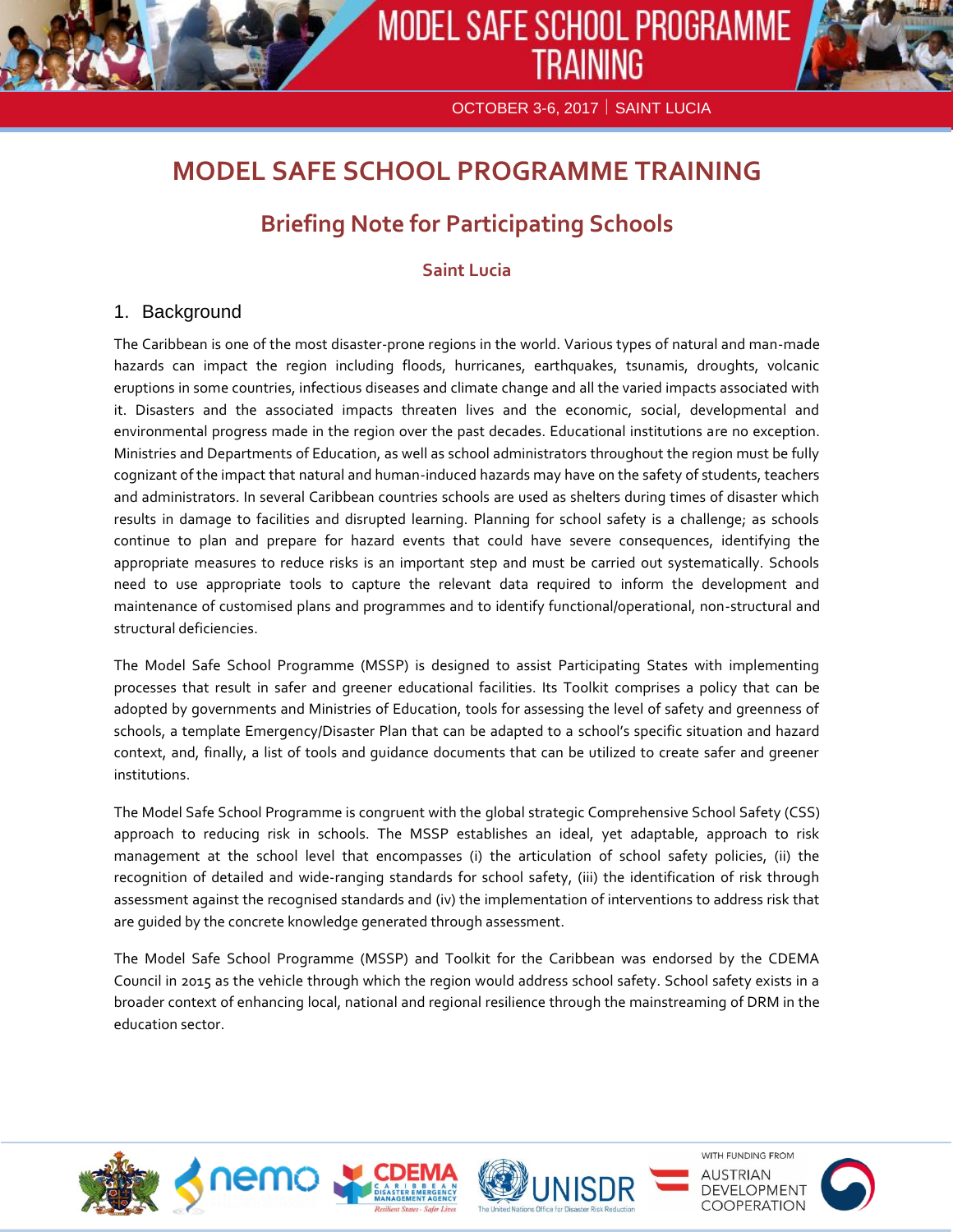

OCTOBER 3-6, 2017 | SAINT LUCIA

# **MODEL SAFE SCHOOL PROGRAMME TRAINING**

# **Briefing Note for Participating Schools**

# **Saint Lucia**

# 1. Background

The Caribbean is one of the most disaster-prone regions in the world. Various types of natural and man-made hazards can impact the region including floods, hurricanes, earthquakes, tsunamis, droughts, volcanic eruptions in some countries, infectious diseases and climate change and all the varied impacts associated with it. Disasters and the associated impacts threaten lives and the economic, social, developmental and environmental progress made in the region over the past decades. Educational institutions are no exception. Ministries and Departments of Education, as well as school administrators throughout the region must be fully cognizant of the impact that natural and human-induced hazards may have on the safety of students, teachers and administrators. In several Caribbean countries schools are used as shelters during times of disaster which results in damage to facilities and disrupted learning. Planning for school safety is a challenge; as schools continue to plan and prepare for hazard events that could have severe consequences, identifying the appropriate measures to reduce risks is an important step and must be carried out systematically. Schools need to use appropriate tools to capture the relevant data required to inform the development and maintenance of customised plans and programmes and to identify functional/operational, non-structural and structural deficiencies.

The Model Safe School Programme (MSSP) is designed to assist Participating States with implementing processes that result in safer and greener educational facilities. Its Toolkit comprises a policy that can be adopted by governments and Ministries of Education, tools for assessing the level of safety and greenness of schools, a template Emergency/Disaster Plan that can be adapted to a school's specific situation and hazard context, and, finally, a list of tools and guidance documents that can be utilized to create safer and greener institutions.

The Model Safe School Programme is congruent with the global strategic Comprehensive School Safety (CSS) approach to reducing risk in schools. The MSSP establishes an ideal, yet adaptable, approach to risk management at the school level that encompasses (i) the articulation of school safety policies, (ii) the recognition of detailed and wide-ranging standards for school safety, (iii) the identification of risk through assessment against the recognised standards and (iv) the implementation of interventions to address risk that are guided by the concrete knowledge generated through assessment.

The Model Safe School Programme (MSSP) and Toolkit for the Caribbean was endorsed by the CDEMA Council in 2015 as the vehicle through which the region would address school safety. School safety exists in a broader context of enhancing local, national and regional resilience through the mainstreaming of DRM in the education sector.





WITH FUNDING FROM **NUSTRIAN** DEVELOPMENT COOPERATION

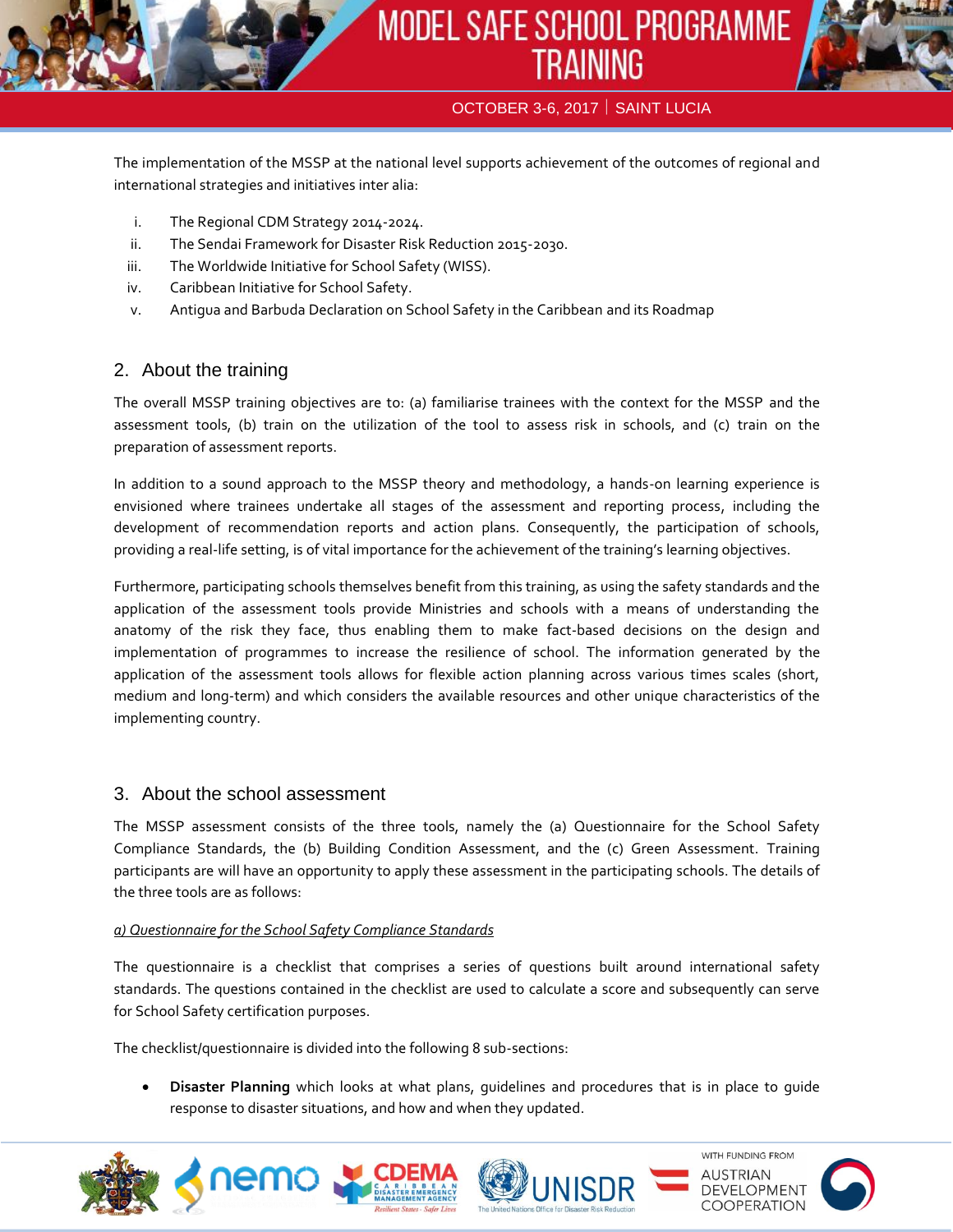

# OCTOBER 3-6, 2017 | SAINT LUCIA

The implementation of the MSSP at the national level supports achievement of the outcomes of regional and international strategies and initiatives inter alia:

- i. The Regional CDM Strategy 2014-2024.
- ii. The Sendai Framework for Disaster Risk Reduction 2015-2030.
- iii. The Worldwide Initiative for School Safety (WISS).
- iv. Caribbean Initiative for School Safety.
- v. Antigua and Barbuda Declaration on School Safety in the Caribbean and its Roadmap

# 2. About the training

The overall MSSP training objectives are to: (a) familiarise trainees with the context for the MSSP and the assessment tools, (b) train on the utilization of the tool to assess risk in schools, and (c) train on the preparation of assessment reports.

In addition to a sound approach to the MSSP theory and methodology, a hands-on learning experience is envisioned where trainees undertake all stages of the assessment and reporting process, including the development of recommendation reports and action plans. Consequently, the participation of schools, providing a real-life setting, is of vital importance for the achievement of the training's learning objectives.

Furthermore, participating schools themselves benefit from this training, as using the safety standards and the application of the assessment tools provide Ministries and schools with a means of understanding the anatomy of the risk they face, thus enabling them to make fact-based decisions on the design and implementation of programmes to increase the resilience of school. The information generated by the application of the assessment tools allows for flexible action planning across various times scales (short, medium and long-term) and which considers the available resources and other unique characteristics of the implementing country.

# 3. About the school assessment

าem

The MSSP assessment consists of the three tools, namely the (a) Questionnaire for the School Safety Compliance Standards, the (b) Building Condition Assessment, and the (c) Green Assessment. Training participants are will have an opportunity to apply these assessment in the participating schools. The details of the three tools are as follows:

#### *a) Questionnaire for the School Safety Compliance Standards*

The questionnaire is a checklist that comprises a series of questions built around international safety standards. The questions contained in the checklist are used to calculate a score and subsequently can serve for School Safety certification purposes.

The checklist/questionnaire is divided into the following 8 sub-sections:

 **Disaster Planning** which looks at what plans, guidelines and procedures that is in place to guide response to disaster situations, and how and when they updated.

UNISD

WITH FUNDING FROM

DEVELOPMENT COOPERATION

AUSTRIAN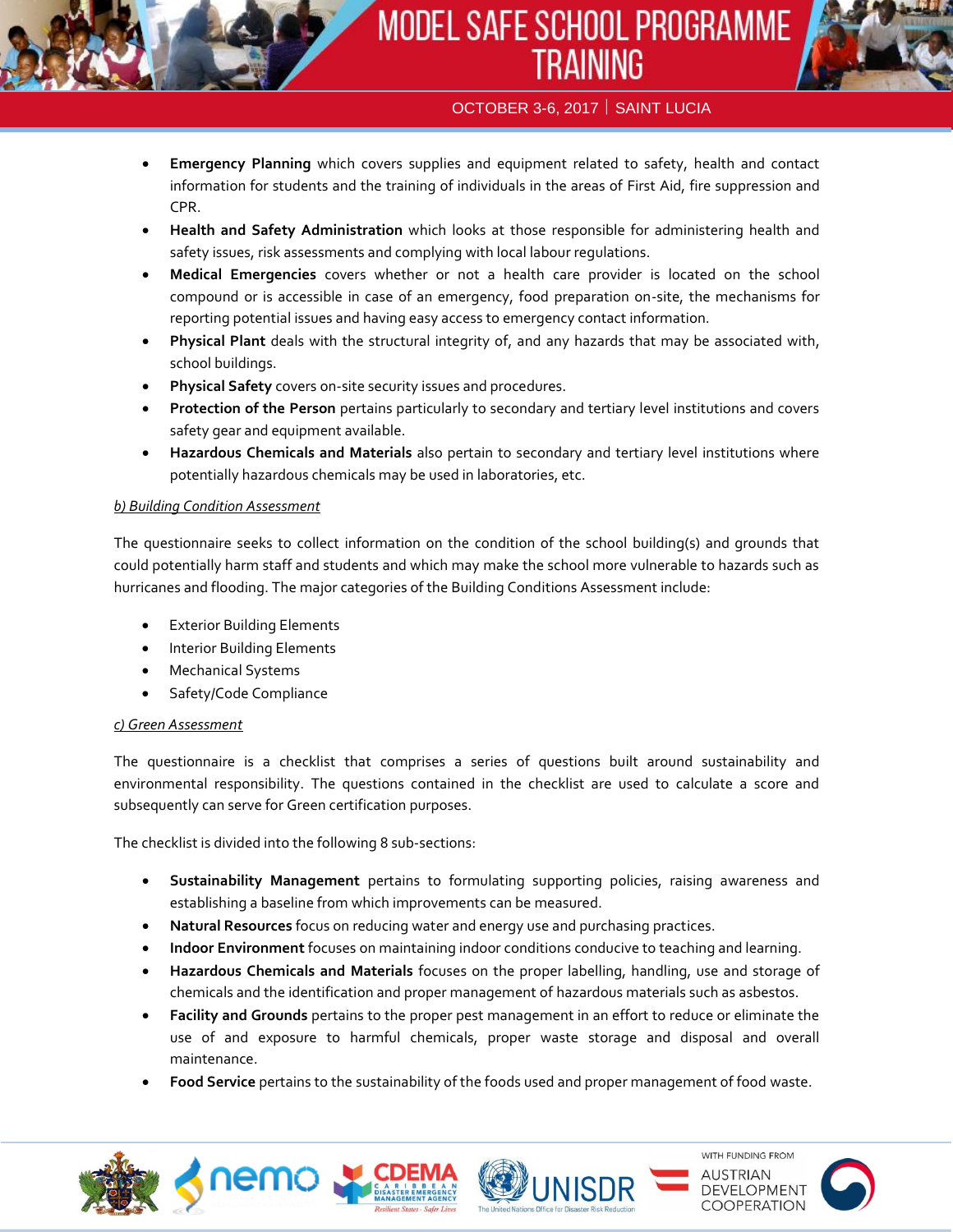# MODEL SAFE SCHOOL PROGRAMME **TRAINING**



- **Emergency Planning** which covers supplies and equipment related to safety, health and contact information for students and the training of individuals in the areas of First Aid, fire suppression and CPR.
- **Health and Safety Administration** which looks at those responsible for administering health and safety issues, risk assessments and complying with local labour regulations.
- **Medical Emergencies** covers whether or not a health care provider is located on the school compound or is accessible in case of an emergency, food preparation on-site, the mechanisms for reporting potential issues and having easy access to emergency contact information.
- **Physical Plant** deals with the structural integrity of, and any hazards that may be associated with, school buildings.
- **Physical Safety** covers on-site security issues and procedures.
- **Protection of the Person** pertains particularly to secondary and tertiary level institutions and covers safety gear and equipment available.
- **Hazardous Chemicals and Materials** also pertain to secondary and tertiary level institutions where potentially hazardous chemicals may be used in laboratories, etc.

# *b) Building Condition Assessment*

The questionnaire seeks to collect information on the condition of the school building(s) and grounds that could potentially harm staff and students and which may make the school more vulnerable to hazards such as hurricanes and flooding. The major categories of the Building Conditions Assessment include:

- Exterior Building Elements
- Interior Building Elements
- Mechanical Systems
- Safety/Code Compliance

# *c) Green Assessment*

The questionnaire is a checklist that comprises a series of questions built around sustainability and environmental responsibility. The questions contained in the checklist are used to calculate a score and subsequently can serve for Green certification purposes.

The checklist is divided into the following 8 sub-sections:

- **Sustainability Management** pertains to formulating supporting policies, raising awareness and establishing a baseline from which improvements can be measured.
- **Natural Resources** focus on reducing water and energy use and purchasing practices.
- **Indoor Environment** focuses on maintaining indoor conditions conducive to teaching and learning.
- **Hazardous Chemicals and Materials** focuses on the proper labelling, handling, use and storage of chemicals and the identification and proper management of hazardous materials such as asbestos.
- **Facility and Grounds** pertains to the proper pest management in an effort to reduce or eliminate the use of and exposure to harmful chemicals, proper waste storage and disposal and overall maintenance.
- **Food Service** pertains to the sustainability of the foods used and proper management of food waste.